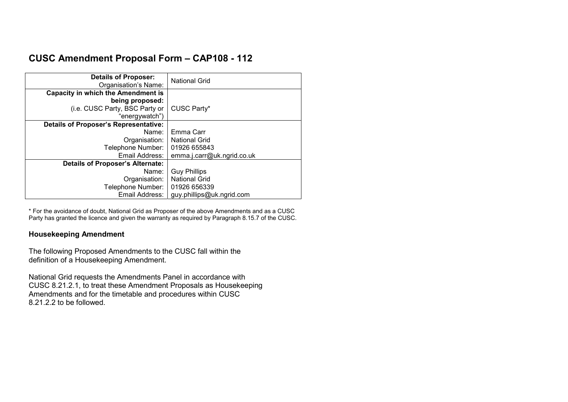# **CUSC Amendment Proposal Form – CAP108 - 112**

| <b>Details of Proposer:</b><br>Organisation's Name: | <b>National Grid</b>       |
|-----------------------------------------------------|----------------------------|
| <b>Capacity in which the Amendment is</b>           |                            |
| being proposed:                                     |                            |
| (i.e. CUSC Party, BSC Party or                      | CUSC Party*                |
| "energywatch")                                      |                            |
| <b>Details of Proposer's Representative:</b>        |                            |
| Name:                                               | Emma Carr                  |
| Organisation:                                       | <b>National Grid</b>       |
| Telephone Number:                                   | 01926 655843               |
| Email Address:                                      | emma.j.carr@uk.ngrid.co.uk |
| <b>Details of Proposer's Alternate:</b>             |                            |
| Name:                                               | <b>Guy Phillips</b>        |
| Organisation:                                       | <b>National Grid</b>       |
| Telephone Number:                                   | 01926 656339               |
| Email Address:                                      | guy.phillips@uk.ngrid.com  |

\* For the avoidance of doubt, National Grid as Proposer of the above Amendments and as a CUSC Party has granted the licence and given the warranty as required by Paragraph 8.15.7 of the CUSC.

## **Housekeeping Amendment**

The following Proposed Amendments to the CUSC fall within the definition of a Housekeeping Amendment.

National Grid requests the Amendments Panel in accordance with CUSC 8.21.2.1, to treat these Amendment Proposals as Housekeeping Amendments and for the timetable and procedures within CUSC 8.21.2.2 to be followed.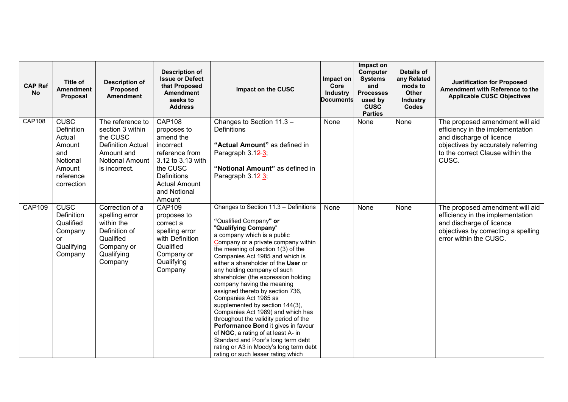| <b>CAP Ref</b><br><b>No</b> | <b>Title of</b><br><b>Amendment</b><br>Proposal                                                       | <b>Description of</b><br>Proposed<br><b>Amendment</b>                                                                          | <b>Description of</b><br><b>Issue or Defect</b><br>that Proposed<br><b>Amendment</b><br>seeks to<br><b>Address</b>                                                                | Impact on the CUSC                                                                                                                                                                                                                                                                                                                                                                                                                                                                                                                                                                                                                                                                                                                                                 | Impact on<br>Core<br><b>Industry</b><br><b>Documents</b> | Impact on<br><b>Computer</b><br><b>Systems</b><br>and<br><b>Processes</b><br>used by<br><b>CUSC</b><br><b>Parties</b> | Details of<br>any Related<br>mods to<br>Other<br><b>Industry</b><br><b>Codes</b> | <b>Justification for Proposed</b><br>Amendment with Reference to the<br><b>Applicable CUSC Objectives</b>                                                                          |
|-----------------------------|-------------------------------------------------------------------------------------------------------|--------------------------------------------------------------------------------------------------------------------------------|-----------------------------------------------------------------------------------------------------------------------------------------------------------------------------------|--------------------------------------------------------------------------------------------------------------------------------------------------------------------------------------------------------------------------------------------------------------------------------------------------------------------------------------------------------------------------------------------------------------------------------------------------------------------------------------------------------------------------------------------------------------------------------------------------------------------------------------------------------------------------------------------------------------------------------------------------------------------|----------------------------------------------------------|-----------------------------------------------------------------------------------------------------------------------|----------------------------------------------------------------------------------|------------------------------------------------------------------------------------------------------------------------------------------------------------------------------------|
| <b>CAP108</b>               | <b>CUSC</b><br>Definition<br>Actual<br>Amount<br>and<br>Notional<br>Amount<br>reference<br>correction | The reference to<br>section 3 within<br>the CUSC<br><b>Definition Actual</b><br>Amount and<br>Notional Amount<br>is incorrect. | <b>CAP108</b><br>proposes to<br>amend the<br>incorrect<br>reference from<br>3.12 to 3.13 with<br>the CUSC<br><b>Definitions</b><br><b>Actual Amount</b><br>and Notional<br>Amount | Changes to Section 11.3 -<br><b>Definitions</b><br>"Actual Amount" as defined in<br>Paragraph 3.12-3;<br>"Notional Amount" as defined in<br>Paragraph 3.12-3;                                                                                                                                                                                                                                                                                                                                                                                                                                                                                                                                                                                                      | None                                                     | None                                                                                                                  | None                                                                             | The proposed amendment will aid<br>efficiency in the implementation<br>and discharge of licence<br>objectives by accurately referring<br>to the correct Clause within the<br>CUSC. |
| <b>CAP109</b>               | <b>CUSC</b><br>Definition<br>Qualified<br>Company<br>or<br>Qualifying<br>Company                      | Correction of a<br>spelling error<br>within the<br>Definition of<br>Qualified<br>Company or<br>Qualifying<br>Company           | <b>CAP109</b><br>proposes to<br>correct a<br>spelling error<br>with Definition<br>Qualified<br>Company or<br>Qualifying<br>Company                                                | Changes to Section 11.3 - Definitions<br>"Qualified Company" or<br>"Qualifying Company"<br>a company which is a public<br>Company or a private company within<br>the meaning of section 1(3) of the<br>Companies Act 1985 and which is<br>either a shareholder of the User or<br>any holding company of such<br>shareholder (the expression holding<br>company having the meaning<br>assigned thereto by section 736,<br>Companies Act 1985 as<br>supplemented by section 144(3),<br>Companies Act 1989) and which has<br>throughout the validity period of the<br>Performance Bond it gives in favour<br>of NGC, a rating of at least A- in<br>Standard and Poor's long term debt<br>rating or A3 in Moody's long term debt<br>rating or such lesser rating which | None                                                     | None                                                                                                                  | None                                                                             | The proposed amendment will aid<br>efficiency in the implementation<br>and discharge of licence<br>objectives by correcting a spelling<br>error within the CUSC.                   |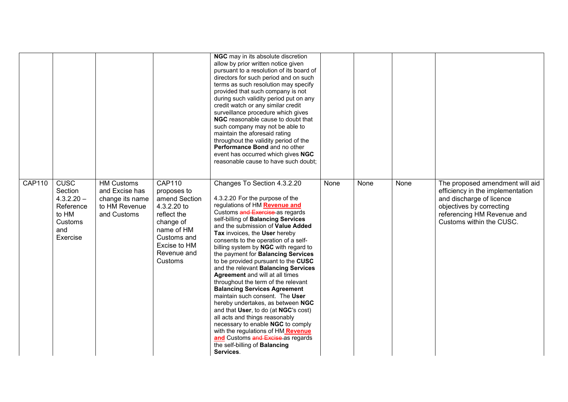|               |                                                                                            |                                                                                        |                                                                                                                                                                 | NGC may in its absolute discretion<br>allow by prior written notice given<br>pursuant to a resolution of its board of<br>directors for such period and on such<br>terms as such resolution may specify<br>provided that such company is not<br>during such validity period put on any<br>credit watch or any similar credit<br>surveillance procedure which gives<br>NGC reasonable cause to doubt that<br>such company may not be able to<br>maintain the aforesaid rating<br>throughout the validity period of the<br>Performance Bond and no other<br>event has occurred which gives NGC<br>reasonable cause to have such doubt;                                                                                                                                                                                                                                                 |      |      |      |                                                                                                                                                                                       |
|---------------|--------------------------------------------------------------------------------------------|----------------------------------------------------------------------------------------|-----------------------------------------------------------------------------------------------------------------------------------------------------------------|-------------------------------------------------------------------------------------------------------------------------------------------------------------------------------------------------------------------------------------------------------------------------------------------------------------------------------------------------------------------------------------------------------------------------------------------------------------------------------------------------------------------------------------------------------------------------------------------------------------------------------------------------------------------------------------------------------------------------------------------------------------------------------------------------------------------------------------------------------------------------------------|------|------|------|---------------------------------------------------------------------------------------------------------------------------------------------------------------------------------------|
| <b>CAP110</b> | <b>CUSC</b><br>Section<br>$4.3.2.20 -$<br>Reference<br>to HM<br>Customs<br>and<br>Exercise | <b>HM Customs</b><br>and Excise has<br>change its name<br>to HM Revenue<br>and Customs | <b>CAP110</b><br>proposes to<br>amend Section<br>4.3.2.20 to<br>reflect the<br>change of<br>name of HM<br>Customs and<br>Excise to HM<br>Revenue and<br>Customs | Changes To Section 4.3.2.20<br>4.3.2.20 For the purpose of the<br>regulations of HM Revenue and<br>Customs and Exercise as regards<br>self-billing of Balancing Services<br>and the submission of Value Added<br>Tax invoices, the User hereby<br>consents to the operation of a self-<br>billing system by NGC with regard to<br>the payment for Balancing Services<br>to be provided pursuant to the CUSC<br>and the relevant Balancing Services<br>Agreement and will at all times<br>throughout the term of the relevant<br><b>Balancing Services Agreement</b><br>maintain such consent. The User<br>hereby undertakes, as between NGC<br>and that User, to do (at NGC's cost)<br>all acts and things reasonably<br>necessary to enable NGC to comply<br>with the regulations of HM Revenue<br>and Customs and Excise as regards<br>the self-billing of Balancing<br>Services. | None | None | None | The proposed amendment will aid<br>efficiency in the implementation<br>and discharge of licence<br>objectives by correcting<br>referencing HM Revenue and<br>Customs within the CUSC. |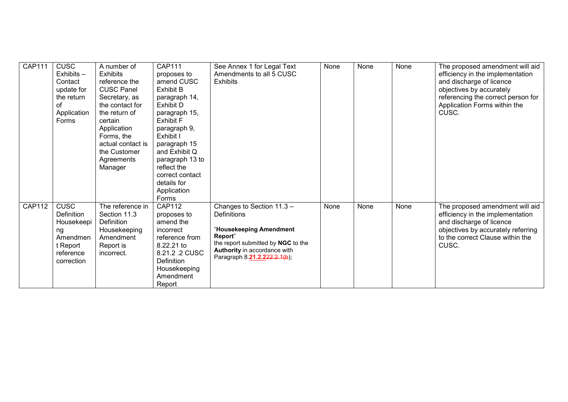| <b>CAP111</b> | <b>CUSC</b><br>$Exhibits -$<br>Contact<br>update for<br>the return<br>οf<br>Application<br>Forms        | A number of<br><b>Exhibits</b><br>reference the<br><b>CUSC Panel</b><br>Secretary, as<br>the contact for<br>the return of<br>certain<br>Application<br>Forms, the<br>actual contact is<br>the Customer<br>Agreements<br>Manager | <b>CAP111</b><br>proposes to<br>amend CUSC<br><b>Exhibit B</b><br>paragraph 14,<br><b>Exhibit D</b><br>paragraph 15,<br><b>Exhibit F</b><br>paragraph 9,<br>Exhibit I<br>paragraph 15<br>and Exhibit Q<br>paragraph 13 to<br>reflect the<br>correct contact<br>details for<br>Application | See Annex 1 for Legal Text<br>Amendments to all 5 CUSC<br><b>Exhibits</b>                                                                                                            | None | None | None | The proposed amendment will aid<br>efficiency in the implementation<br>and discharge of licence<br>objectives by accurately<br>referencing the correct person for<br>Application Forms within the<br>CUSC. |
|---------------|---------------------------------------------------------------------------------------------------------|---------------------------------------------------------------------------------------------------------------------------------------------------------------------------------------------------------------------------------|-------------------------------------------------------------------------------------------------------------------------------------------------------------------------------------------------------------------------------------------------------------------------------------------|--------------------------------------------------------------------------------------------------------------------------------------------------------------------------------------|------|------|------|------------------------------------------------------------------------------------------------------------------------------------------------------------------------------------------------------------|
| <b>CAP112</b> | <b>CUSC</b><br><b>Definition</b><br>Housekeepi<br>ng<br>Amendmen<br>t Report<br>reference<br>correction | The reference in<br>Section 11.3<br>Definition<br>Housekeeping<br>Amendment<br>Report is<br>incorrect.                                                                                                                          | Forms<br><b>CAP112</b><br>proposes to<br>amend the<br>incorrect<br>reference from<br>8.22.21 to<br>8.21.2 .2 CUSC<br>Definition<br>Housekeeping<br>Amendment<br>Report                                                                                                                    | Changes to Section 11.3 -<br>Definitions<br>"Housekeeping Amendment<br>Report"<br>the report submitted by NGC to the<br>Authority in accordance with<br>Paragraph 8.21.2.222.2.1(b); | None | None | None | The proposed amendment will aid<br>efficiency in the implementation<br>and discharge of licence<br>objectives by accurately referring<br>to the correct Clause within the<br>CUSC.                         |